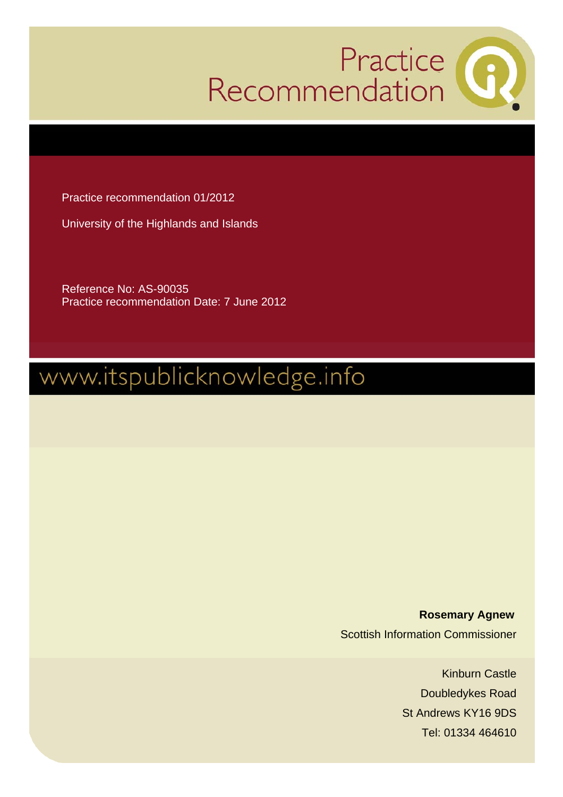

Practice recommendation 01/2012

University of the Highlands and Islands

Reference No: AS-90035 Practice recommendation Date: 7 June 2012

# www.itspublicknowledge.info

 **Rosemary Agnew**  Scottish Information Commissioner

> Kinburn Castle Doubledykes Road St Andrews KY16 9DS Tel: 01334 464610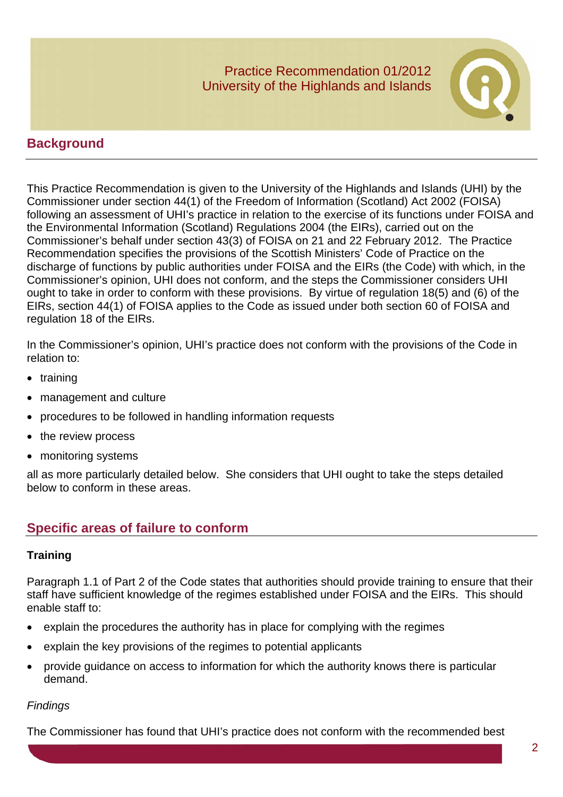

# **Background**

This Practice Recommendation is given to the University of the Highlands and Islands (UHI) by the Commissioner under section 44(1) of the Freedom of Information (Scotland) Act 2002 (FOISA) following an assessment of UHI's practice in relation to the exercise of its functions under FOISA and the Environmental Information (Scotland) Regulations 2004 (the EIRs), carried out on the Commissioner's behalf under section 43(3) of FOISA on 21 and 22 February 2012. The Practice Recommendation specifies the provisions of the Scottish Ministers' Code of Practice on the discharge of functions by public authorities under FOISA and the EIRs (the Code) with which, in the Commissioner's opinion, UHI does not conform, and the steps the Commissioner considers UHI ought to take in order to conform with these provisions. By virtue of regulation 18(5) and (6) of the EIRs, section 44(1) of FOISA applies to the Code as issued under both section 60 of FOISA and regulation 18 of the EIRs.

In the Commissioner's opinion, UHI's practice does not conform with the provisions of the Code in relation to:

- training
- management and culture
- procedures to be followed in handling information requests
- the review process
- monitoring systems

all as more particularly detailed below. She considers that UHI ought to take the steps detailed below to conform in these areas.

# **Specific areas of failure to conform**

#### **Training**

Paragraph 1.1 of Part 2 of the Code states that authorities should provide training to ensure that their staff have sufficient knowledge of the regimes established under FOISA and the EIRs. This should enable staff to:

- explain the procedures the authority has in place for complying with the regimes
- explain the key provisions of the regimes to potential applicants
- provide guidance on access to information for which the authority knows there is particular demand.

#### *Findings*

The Commissioner has found that UHI's practice does not conform with the recommended best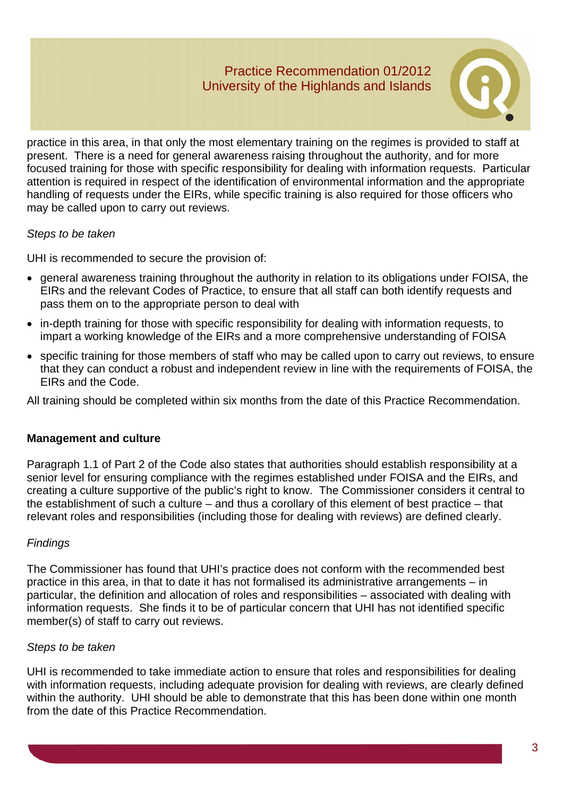

practice in this area, in that only the most elementary training on the regimes is provided to staff at present. There is a need for general awareness raising throughout the authority, and for more focused training for those with specific responsibility for dealing with information requests. Particular attention is required in respect of the identification of environmental information and the appropriate handling of requests under the EIRs, while specific training is also required for those officers who may be called upon to carry out reviews.

## *Steps to be taken*

UHI is recommended to secure the provision of:

- general awareness training throughout the authority in relation to its obligations under FOISA, the EIRs and the relevant Codes of Practice, to ensure that all staff can both identify requests and pass them on to the appropriate person to deal with
- in-depth training for those with specific responsibility for dealing with information requests, to impart a working knowledge of the EIRs and a more comprehensive understanding of FOISA
- specific training for those members of staff who may be called upon to carry out reviews, to ensure that they can conduct a robust and independent review in line with the requirements of FOISA, the EIRs and the Code.

All training should be completed within six months from the date of this Practice Recommendation.

# **Management and culture**

Paragraph 1.1 of Part 2 of the Code also states that authorities should establish responsibility at a senior level for ensuring compliance with the regimes established under FOISA and the EIRs, and creating a culture supportive of the public's right to know. The Commissioner considers it central to the establishment of such a culture – and thus a corollary of this element of best practice – that relevant roles and responsibilities (including those for dealing with reviews) are defined clearly.

# *Findings*

The Commissioner has found that UHI's practice does not conform with the recommended best practice in this area, in that to date it has not formalised its administrative arrangements – in particular, the definition and allocation of roles and responsibilities – associated with dealing with information requests. She finds it to be of particular concern that UHI has not identified specific member(s) of staff to carry out reviews.

# *Steps to be taken*

UHI is recommended to take immediate action to ensure that roles and responsibilities for dealing with information requests, including adequate provision for dealing with reviews, are clearly defined within the authority. UHI should be able to demonstrate that this has been done within one month from the date of this Practice Recommendation.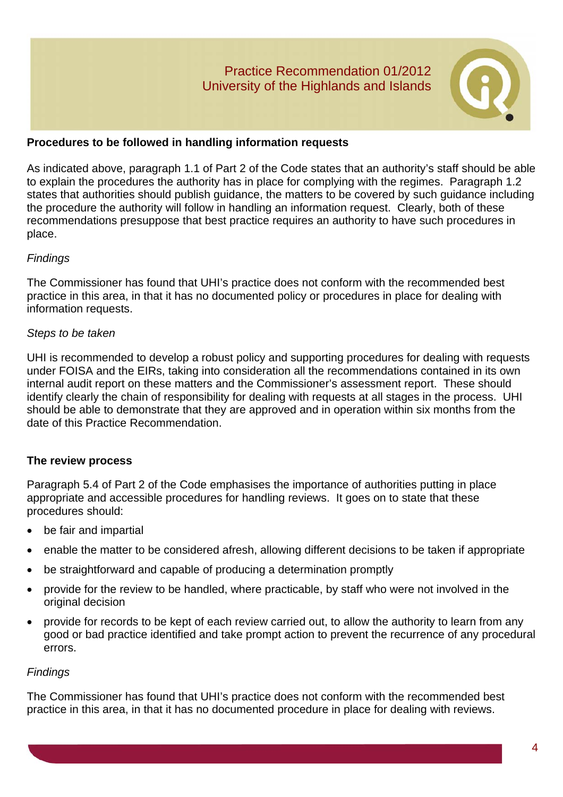

## **Procedures to be followed in handling information requests**

As indicated above, paragraph 1.1 of Part 2 of the Code states that an authority's staff should be able to explain the procedures the authority has in place for complying with the regimes. Paragraph 1.2 states that authorities should publish guidance, the matters to be covered by such guidance including the procedure the authority will follow in handling an information request. Clearly, both of these recommendations presuppose that best practice requires an authority to have such procedures in place.

#### *Findings*

The Commissioner has found that UHI's practice does not conform with the recommended best practice in this area, in that it has no documented policy or procedures in place for dealing with information requests.

#### *Steps to be taken*

UHI is recommended to develop a robust policy and supporting procedures for dealing with requests under FOISA and the EIRs, taking into consideration all the recommendations contained in its own internal audit report on these matters and the Commissioner's assessment report. These should identify clearly the chain of responsibility for dealing with requests at all stages in the process. UHI should be able to demonstrate that they are approved and in operation within six months from the date of this Practice Recommendation.

# **The review process**

Paragraph 5.4 of Part 2 of the Code emphasises the importance of authorities putting in place appropriate and accessible procedures for handling reviews. It goes on to state that these procedures should:

- be fair and impartial
- enable the matter to be considered afresh, allowing different decisions to be taken if appropriate
- be straightforward and capable of producing a determination promptly
- provide for the review to be handled, where practicable, by staff who were not involved in the original decision
- provide for records to be kept of each review carried out, to allow the authority to learn from any good or bad practice identified and take prompt action to prevent the recurrence of any procedural errors.

#### *Findings*

The Commissioner has found that UHI's practice does not conform with the recommended best practice in this area, in that it has no documented procedure in place for dealing with reviews.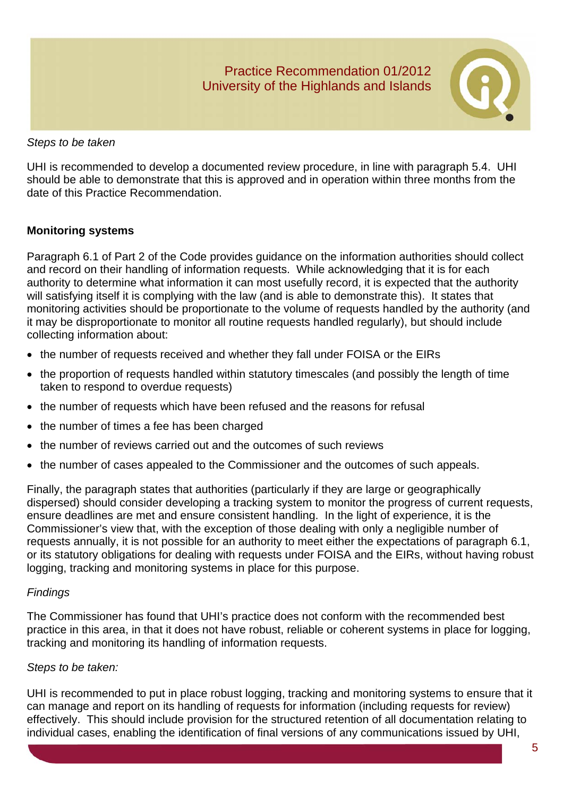

*Steps to be taken* 

UHI is recommended to develop a documented review procedure, in line with paragraph 5.4. UHI should be able to demonstrate that this is approved and in operation within three months from the date of this Practice Recommendation.

## **Monitoring systems**

Paragraph 6.1 of Part 2 of the Code provides guidance on the information authorities should collect and record on their handling of information requests. While acknowledging that it is for each authority to determine what information it can most usefully record, it is expected that the authority will satisfying itself it is complying with the law (and is able to demonstrate this). It states that monitoring activities should be proportionate to the volume of requests handled by the authority (and it may be disproportionate to monitor all routine requests handled regularly), but should include collecting information about:

- the number of requests received and whether they fall under FOISA or the EIRs
- the proportion of requests handled within statutory timescales (and possibly the length of time taken to respond to overdue requests)
- the number of requests which have been refused and the reasons for refusal
- the number of times a fee has been charged
- the number of reviews carried out and the outcomes of such reviews
- the number of cases appealed to the Commissioner and the outcomes of such appeals.

Finally, the paragraph states that authorities (particularly if they are large or geographically dispersed) should consider developing a tracking system to monitor the progress of current requests, ensure deadlines are met and ensure consistent handling. In the light of experience, it is the Commissioner's view that, with the exception of those dealing with only a negligible number of requests annually, it is not possible for an authority to meet either the expectations of paragraph 6.1, or its statutory obligations for dealing with requests under FOISA and the EIRs, without having robust logging, tracking and monitoring systems in place for this purpose.

#### *Findings*

The Commissioner has found that UHI's practice does not conform with the recommended best practice in this area, in that it does not have robust, reliable or coherent systems in place for logging, tracking and monitoring its handling of information requests.

#### *Steps to be taken:*

UHI is recommended to put in place robust logging, tracking and monitoring systems to ensure that it can manage and report on its handling of requests for information (including requests for review) effectively. This should include provision for the structured retention of all documentation relating to individual cases, enabling the identification of final versions of any communications issued by UHI,